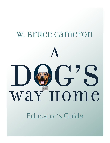## W. Bruce Cameron

# D G way Home A

Educator's Guide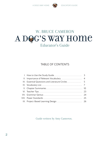

## A DOG'S WAY HOME Educator's Guide W. BRUCE CAMERON

#### TABLE OF CONTENTS

Guide written by Amy Cameron.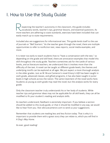

### I. How to Use the Study Guide

especting the teacher's autonomy in the classroom, this guide includes vocabulary words, teacher's tips, grammar lessons, and essential questions. As more teachers are adhering to state standards, exercises have been included that can easily match up to state requirements.

Included also are suggestions for informational text. This guide lends itself to the use of journals or "Bell Starters." As the teacher goes through the novel, there are multiple opportunities to refer to nonfiction text, news reports, social media examples, and more.

It is never too early to teach students how to "have a conversation with the text," so depending on the grade and skill level, there are annotation examples that model this skill throughout the study guide. Teachers sometimes ask for the Lexile of various books, and as literature teachers, we understand that it involves more than the difficulty of the text. A novel can be taught at different grade levels; the themes and underlying motifs can be explored at all ages. We just expect a more thorough analysis in the older grades. Just as W. Bruce Cameron's novel *Emory's Gift* has been taught in sixth grade, advanced classes, and gifted programs, it has also been taught in junior levels in high schools across the nation. The same treatment of the novel works here. Students as young as sixth grade may read the novel, but the analysis works for every grade.

Only the classroom teacher truly understands his or her body of students. While teacher tips and grammar ideas may not be applicable for all skill levels, they can all be modified to fit your student's reading and analysis skills.

As teachers understand, feedback is extremely important. If you believe a section should be added to this study guide, or that it should be modified in any way, we would like to hear from you. Visit wbrucecameron.com to send us your suggestions.

Remember that students are reading less and less fiction today. That is why it is important to provide them with a great story they can relate to, which you will find in *A Dog's Way Home*.

As ever, good reading!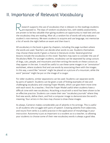

### II. Importance of Relevant Vocabulary

esearch supports the use of vocabulary that is relevant to the readings students are exposed to. The days of random vocabulary lists, with weekly assessments, are proven to be less valuable than giving students an opportunity to read text and use the vocabulary they are reading. After all, a random list of words will only evaluate a student's rote memory. We want students to acquire and use language, not memorize a list of words the night before an exam and then lose it.

All vocabulary in the book is given by chapters, including the page numbers where the words are used. Teachers can decide what words to use. Students themselves may choose these words if given a chance in literature circles. Several grammar lessons include the vocabulary in this novel. Teachers may want to consider the use of Vocabulary Walls. For younger students, vocabulary can be separated by using cutouts of dogs, cats, people, and mountains and then writing the words on these cutouts as they appear in the text. It would be useful to use these same images in an "annotation" worksheet, where students find and use words by associating them with the images. In this way, a word like "remote" might be placed on a picture of a mountain, while the word "pensive" might be put on the image of a cougar.

For older students, similar separations can be used. Students can separate words by parts of speech. Students can be given a task of finding examples of new and challenging vocabulary and creating Frayer Models, which can give them more time with each word. As a teacher, I find the Frayer Model useful when students have a difficult time with new vocabulary. Attaching a visual with a word has been shown to be an effective practice. Students can create their own "vocabulary journals" where they find new words, define them, and find a computer image to demonstrate the word's meaning. Your artists in the class may choose to draw these images.

As always, Cameron makes considerable use of adverbs in his writings. This is useful to all students who struggle with parts of speech. Creating adverbs from adjectives, and nouns from verbs is a useful practice in the application of morphology in your instruction. Autonomy is just as important to a student as to a teacher, so allowing your students to choose some of their new vocabulary words is always a good idea.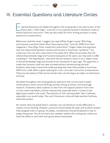

### III. Essential Questions and Literature Circles

ssential Questions are added throughout the study guide to be used as part of the lesson plan, a "bell ringer," a journal, or as a question posed in literature circles or whole classroom instruction. They are also useful for short writing prompts or essay questions on assessments.

Before you read the novel, I suggest you read Jeffrey Kluger's essay "Why Dogs and Humans Love Each Other More Than Anyone Else," (July 20, 2018) from *Time* magazine's "How Dogs Think: Inside the Canine Mind." Kluger makes the argument that the relationship between canines and humans is more than "symbiotic." You could start this unit with a discussion of his ideas here. When he surmises that the relationships between dogs and humans have gone on for years, you may want to offer a reading in "The Dog Master," also by W. Bruce Cameron, which is an in-depth novel of the bond between dogs and humans from thousands of years ago. The argument is made that humans could not have survived without domesticating the wolf. Students often have a hard time understanding that their little poodle at home has DNA from a wolf. What a great opening for cross-curricular instruction/conversations. There are also plenty of folk stories written that use the dog as an object of admiration and love.

Sprinkled throughout the study guide are questions that can be used to spark conversations, invite critical thinking, prompt writing activities, and encourage research. If teachers allow students to veer from the original question from time to time, what may follow could be inspirational, especially when it comes to the legal issues raised in the novel. The question of "fair and equitable" laws is relevant, especially in our world today. The use of literature circles will help teachers facilitate these discussions.

No matter what the grade level is, teachers can use literature circles effectively to inspire critical thinking. However, protocols should always be used, and students should have assigned roles in a group. As always, consideration should be placed on how to assign the groups. You do not want your weakest readers all in one group, unless you have the ability to work with that group almost exclusively.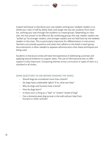

A good technique to distribute your top readers among your weakest readers is to divide your class in half by ability level, and assign the top two students from each list, working your way through the students to create groups. Depending on class size, this has proven to be effective. By combining groups this way, weaker readers are "pulled up" by stronger readers, and stronger readers are not held back by the weakest readers in the class. This is particularly important for differentiation in instruction. Teachers can provide questions and tasks that adhere to the levels in each group; documentation is often needed to appease administrators that these techniques are being used.

Students in literature circles will have the experience of addressing a prompt and applying textual evidence to support ideas. The use of informational text to offer support is also important. Comparing themes across curriculum or types of texts is a standard in all states.

#### SOME QUESTIONS TO USE BEFORE READING THE NOVEL

- Should dogs be considered more than chattel?
- Do dogs have unalienable rights? If so, what are they?
- Why do dogs and humans have a bond?
- How do dogs learn?
- Is there such a thing as a "bad" or "violent" breed of dog?
- Can a domesticated dog survive in the wild without help from humans or other animals?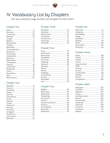

### IV. Vocabulary List by Chapters

(For your assistance, page numbers are also given for each word.)

#### **Chapter One**

| Comprehension  14 |  |
|-------------------|--|
|                   |  |
|                   |  |
|                   |  |
|                   |  |
|                   |  |
|                   |  |
|                   |  |
|                   |  |
|                   |  |
|                   |  |
|                   |  |
|                   |  |
|                   |  |

#### **Chapter Two**

#### **Chapter Three**

#### **Chapter Four**

#### **Chapter Five**

#### **Chapter Six**

#### **Chapter Seven**

#### **Chapter Eight**

| Antidepressants  104 |  |
|----------------------|--|
|                      |  |
|                      |  |
|                      |  |
|                      |  |
|                      |  |
|                      |  |
|                      |  |
|                      |  |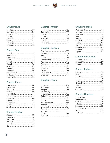

#### **Chapter Nine**

#### **Chapter Ten**

#### **Chapter Eleven**

| Contemplating145 |  |
|------------------|--|
|                  |  |
|                  |  |
|                  |  |

#### **Chapter Twelve**

| Amendments 154 |  |
|----------------|--|
|                |  |
|                |  |
|                |  |
|                |  |

#### **Chapter Thirteen**

#### **Chapter Fourteen**

#### **Chapter Fifteen**

| Transformation188 |  |
|-------------------|--|
|                   |  |
|                   |  |
|                   |  |
|                   |  |
|                   |  |
|                   |  |

#### **Chapter Sixteen**

#### **Chapter Seventeen**

| Accommodate 206 |  |
|-----------------|--|
|                 |  |
|                 |  |

#### **Chapter Eighteen**

#### **Chapter Nineteen**

| Undetectable230 |  |
|-----------------|--|
|                 |  |
|                 |  |
|                 |  |
|                 |  |
|                 |  |
|                 |  |
|                 |  |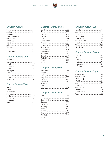#### **Chapter Twenty**

| Presumptuously236 |  |
|-------------------|--|
|                   |  |
|                   |  |
|                   |  |
|                   |  |
|                   |  |
|                   |  |
|                   |  |

#### **Chapter Twenty-One**

#### **Chapter Twenty-Two**

#### **Chapter Twenty-Three**

| Triangulating 269 |  |
|-------------------|--|
|                   |  |
|                   |  |
|                   |  |
|                   |  |
|                   |  |
|                   |  |
|                   |  |
|                   |  |

#### **Chapter Twenty-Four**

#### **Chapter Twenty-Five**

#### **Chapter Twenty-Six**

#### **Chapter Twenty-Seven**

#### **Chapter Twenty-Eight**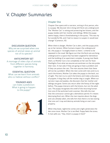

## V. Chapter Summaries

#### DISCUSSION QUESTION

Why are we surprised when one species of animal raises an animal not of its species?

#### ANTICIPATORY SET

A montage of video clips of animals from different species living together in harmony.

#### ESSENTIAL QUESTION

What can we learn from animals who co-habitat without conflict?

#### YOUNGER AGES

can make a prediction: What is going to happen to the puppy?



#### Chapter One

Chapter One opens with a narrator, writing in first person, who is a puppy. We discover she is living with feral cats underground. The "Mother Cat" is raising and protecting her kittens, and the puppy resides with her mother and siblings. While the puppy seems happy, there is foreshadowing in the quote, "This was my fun wonderful life, and I had no reason to suspect it would ever change" (Cameron, 10).

When there is danger, Mother Cat is alert, and the puppy picks up on her tension. When humans inspect the underground lair, the puppy is "strangely drawn to them," a theme to be repeated in the novel. We figure out that the feral cats are living underground in a space that has been targeted for demolition and the building of an apartment complex. A young man feeds them, so Mother Cat is not completely on her own for food. Flashlights from what we assume are workmen on the site probe their nest. A man asks if they are going to have a problem and if they can poison the cats. The man assures them that there will not be a problem. When the men come with nets and try to catch the kittens, Mother Cat takes the puppy to the back, out of sight. The men try to catch the kittens and make a discovery of puppies. A dog they call the mother dog is caught. When our narrator naps and awakes, she discovers that her mother and siblings are gone. Some cats return after the frenzy of the night before. The puppy interacts with the kittens, but not the adult cats. The puppy recognizes the smell of the returning human (not one of the workmen) and a woman. She tells the man that the contractor cannot get a demolition permit if it means destroying feral cats. When the man inquires about the dogs and cats already taken, she tells him that there is no law stating that one can't trap and destroy animals living on one's own property.

When they leave, nighttime comes and a light penetrates the den once more. Mother Cat is terrified. Puppy feels the stress. A man yells out, "Hey, there's a puppy in here!"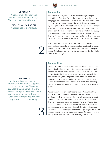

#### INFERENCE What can we infer from the

woman's words when she says, "We have to assume the worst"?

DISCUSSION QUESTION What is unconditional love?

## 2

#### Chapter Two

The woman is back, and she is the one crawling through the nest with her flashlight. When she talks directly to the puppy, the puppy feels a compulsion to go to her. The man and woman try to guess the puppy's breed. She also informs the man that by asking around, she has not heard of a rescue shelter taking in kittens and cats lately. She explains that they "have to assume the worst." The man talks the woman into giving him the puppy. She is taken to a new home, where she learns the word "treat." The man's name is Lucas and he lives with his mother. In a short period of time, the puppy loves Lucas. Lucas names her "Bella."

Every day they go to the den to feed the kittens. When a backhoe is delivered, he can sense the fear coming off of Lucas. While Lucas's mother had some reservations about taking in a puppy, Bella knows her name and a few other words. Her whole world is this young man.

#### Chapter Three

In chapter three, Lucas confronts the contractor, a man named Gunter Beckenbauer. Lucas tries to stop the demolition, and they have a heated conversation about the feral cats. Gunter tries to justify the demolition by stating that they got all the cats. Lucas disagrees. The police come, and Bella learns how to identify police by their uniforms. They tell Lucas he cannot interfere when the woman who was with him before shows up. Her name is Audrey, and she has brought a camera to film the event.

Audrey informs the officers that she is with Animal Control, and that if they pull down the house, they will be committing an illegal act. The contractor, who smells like smoke and meat to Bella, pleads with the officers to arrest Lucas and Audrey. The man insists that there are no cats left, when Mother Cat sprints out of the nest. When the officers refuse to arrest the pair, because no law has been violated, the interaction breaks up. At the end of the chapter, when Bella is playing with Lucas in the apartment, there is a knock at the door. Bella can smell the smoky meat man. He tells Lucas that they have to talk.

#### EXPOSITION

In chapter two, we have more information. The man is supposed to go to med school. The other is a veteran, and he works at the Veteran's Hospital in Denver. There is a concern for money, because Lucas's mother reminds him how expensive it is to raise a dog.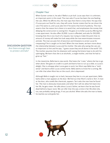

#### Chapter Four

When Gunter comes in, he asks if Bella is a pit bull. Lucas says that it is unknown, an important point in this novel. The man asks if Lucas has been the one feeding the cats. When he affirms this, the man says that there is irony there. He says that if Lucas puts out food for cats, they will come. Gunter states that he can shoot the cats if he wants to, and Lucas asks him if he wants that kind of publicity. The man asserts that the reason he is there is to avoid that, and emphasizes the money that delaying the construction is costing him. He goes on to bribe Lucas by offering him a new apartment. He also offers \$1,000. Lucas is offended, and asks for \$10,000, knowing that this is too much of a request, but trying to make the point that no amount of money will make him look away while the man exterminates innocent animals. The man accuses him of extortion and threatens to arrest Lucas for trespassing if he is caught on his land. When the man leaves, we learn more about the relationship between Lucas and his mother. She asks why saving the cats are so important to him and he says, "I guess cause they are all alone in the world" (51). The mother assumes that his obsession with saving the kittens have to do with his upbringing. We learn that she is an alcoholic, a single mother, and that he had to grow up "fast."

In the meantime, Bella learns new words. She hates the "crate," where she has to go when alone. She goes on a walk in a park and learns how to run up a slide, to Lucas's delight. She is unhappy when Lucas goes to work, but Mom says Bella has a "sixth sense" and learns when Lucas comes home. Bella seems to know he is coming. We can infer that when Mom lies on the couch, she is depressed.

Although Bella is taught not to bark, because they live in a no-pet apartment, Bella barks when a man appears at the door. We find out that Mom's name is Terri. A man at the door, who smells like chemicals, appears. Terri asks the man how he found her. The man is obviously intoxicated, and when Terri will not allow him back into her life, he gets mean. He talks about Lucas's father; we learn that he was found dead behind a liquor store. We can infer that this was a time in her life when she, too, was probably taking drugs, if not just alcohol. When she asks the man to leave, he reaches out and grabs her.



#### DISCUSSION QUESTION

Are there enough laws to protect animals?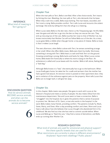

#### Chapter Five

When the man yells at Terri, Bella is terrified. After a few choice words, Terri reacts by hitting the man. Bleeding, the man yells at Terri, who demands that he leave. When they crash into a table, Bella stops barking. The man leaves, wounded, and Terri starts crying. Bella provides comfort. Terri calls Lucas and recounts the violent exchange. She ends by telling him that she will go to a meeting.

When Lucas takes Bella to the den next, there is a No Trespassing sign. He lifts Bella over the gate and tells her to go into the den so they can rescue the cats. They end up rescuing two of the cats. Bella touches her nose to that of Mother Cat, but knows instinctively that Mother Cat will not follow Bella out of the den. As a treat, Lucas gives Bella a nibble when they get home: a tiny piece of cheese. Bella so loves it that it makes Lucas laugh.

The next afternoon, when Bella is alone with Terri, he senses something strange in her smell. When she offers Bella treats, Bella eats them hurriedly. She knows something is wrong with Terri. Bella hears a crash and finds Terri on the ground. Knowing something is wrong, Bella barks and barks for help. When Lucas comes home, Bella leads him frantically to where his mom is lying on the floor. An ambulance is called and Lucas leaves with his mother. Bella is left alone, feeling like a "bad dog."

Although Bella knows it is "bad," she eventually has to go to the bathroom. When Lucas finally gets home, he takes her for a walk and we learn that the mother has had a grand mal seizure. An eviction notice is posted on their apartment door; they are in violation of the ordinance against pets on the property. Mom tells Lucas that Bella can no longer bark; it will give her away.

#### Chapter Six

In this chapter, Bella meets new people. She goes to work with Lucas at the Veteran's Hospital and meets a variety of people. He also meets Olivia from the maintenance department. She and Lucas seem to have a connection. Bella is "smuggled" into the hospital, but it gives the patients there a sense of purpose to protect her. We learn of Dr. Gann, a man who works in the hospital. In the ward, Bella makes many friends, providing comfort. The patients include Ty, Mack, Steve, Marty, and Drew. After a day providing comfort and cheer, Mom and Lucas have a talk about how she believes that Lucas thought she abandoned him in his childhood. We also find out that she has tried to commit suicide before. When Lucas and Bella go to "feed the cats," they find a notice of demolition, and Bella ends up running after Mother Cat.

#### RESEARCH QUESTION

13 What kind of animals are used for emotional and physical support? Are there specific breeds that are used for this? What restrictions are currently in place in different environments? Airplanes? Apartment dwellings? Public places?

INFERENCE What kind of meeting is Terri going to?

## 5

#### DISCUSSION QUESTION

How do service animals BECOME service animals, and what can the animals do to become service animals?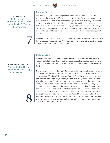Chapter Seven



#### INFERENCE

Bella goes to the veterinarian and receives a "stiff collar." What is the inference?

## 7

The season changes and Bella experiences snow. She provides comfort to the veterans at the hospital and feels she has this purpose. The veterans continue to hide Bella from the administration in the hospital; it is said that they are running the ward like a POW camp. The altercation with the builders and the cats continues to loom in their lives. The contractor is very agitated over the expense the delay is taking and comments how building in the winter is not cost effective. He declares a war on Lucas, and Lucas warns Bella that he doesn't "have a good feeling about this" (97).

When Mom becomes sick again, Bella can sense it and warns Lucas. They learn that 15% of dogs can sense seizures. When they come home to another eviction notice, they know it is the action of the contractor.

#### Chapter Eight

When Lucas contacts Dr. Sterling about service animals, he gives them hope about keeping Bella but warns them that the process to get her certified is not swift. To avoid their eviction, Dr. Sterling writes a letter to state that Bella offers support to Terri.

The reader can infer that the "war" Gunter warned Lucas about includes the use of an Animal Control officer. In the meantime, Lucas has taught Bella a variation of the command "Go Home!" The Animal Control officer visits them to inform them that they have an illegal pet, a pit bull, a breed that is illegal in Denver, Colorado. When he is told that Bella is a therapy dog, he throws a treat on the ground, which Bella gobbles up. The Animal Control worker informs them that a therapy dog does not eat treats thrown on the ground. He informs them that if he catches the dog outside, he will impound Bella. On the first offense, she will be chipped; on the second offense, she will be destroyed. When Lucas tries to appeal to the man, stating that Bella is not a vicious animal, the Animal Control man states, "If the law says she is a vicious animal, she's a vicious animal" (111). We also find out that if two officers in Animal Control say that Bella is a pit bull, then the law says she is a pit bull. There is no appeal process.

#### RESEARCH QUESTION

What is the Fair Housing Act, and how does it apply to service animals?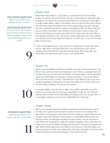

#### DISCUSSION QUESTION

What can we do if we believe a law is uniust?

#### DISCUSSION QUESTION

At the end of the chapter, the animal control truck is following Bella. How is this foreshadowing events to come?

#### Chapter Nine

When Mom takes Bella for a walk, Bella can smell the Animal Control officer nearby. He catches them and tells her that he is impounding the dog. Mom yells for Bella to "Go Home!" But Animal Control follows her and throws a treat. Bella is caught. When Bella is taken to the shelter, she can smell the fear and confusion from the other dogs. She believes that if she is a good dog, Lucas will come get her. She is confused and afraid. A woman working there tells the officer that she cannot confirm that Bella is a pit. We learn that the man's name is Chuck. We discover that there is corruption here when Chuck states that two other officers have agreed that Bella is a pit. The woman tersely replies that one of the "officers" is on vacation and cannot make that assertion. It seems that it is out of her hands. Bella is heartbroken.

A man named Wade seems to care about her; he takes her for walks and rinses out her cage. When Lucas gets Bella back, he is warned that on her second violation, she will be held for three days and destroyed. When they take their walks, Bella can smell the Animal Control truck behind them.

#### Chapter Ten

When Lucas takes Bella to feed the cats, Bella can smell the Animal Control truck. When Chuck confronts them and threatens to "dart" Bella, Lucas pleads with him. He tells them that he will move from Denver. The police appear; the female officer seems kind. While Bella can perceive a "profound sadness" in Lucas, the officers tell Lucas that he has to comply. They allow him to put Bella into the truck. He is crying his goodbyes, thinking that his dog will be killed. At the shelter, Bella joins the other dogs, howling in her distress and sadness.

Lucas gives Wade, a man he knew in high school, \$100 to get Bella out of the pound. Lucas knows that the only way to save Bella is to get her out of Denver. Audrey comes to help. She will take Bella to Durango until Lucas can get there. In

a crate again, seeking Lucas once more, Bella feels like a "bad dog."

## 10

11

9

RESEARCH QUESTION How do you become a foster parent to animals?

#### Chapter Eleven

With Lucas's blanket around her, Bella is so depressed that she does not eat for two days. She is given to foster parents, Loretta and Jose. For two weeks she is given walks in an expansive state forest, but she is always on a leash. Bella has one purpose: to go home. We learn that summer is coming. Bella always knows the direction home, and although she likes her foster parents, she can only think of Luke. When she is exposed to a slide that nestles up against a fence, she takes the escape and runs up the ladder and leaps over the fence. She does not sleep for two days. Determined to get home, she heads in that direction. Cold and hungry, she stays by streams for water, but avoids people. She feels vulnerable. At the end of the chapter she hears two boys shooting guns. They smell of alcohol.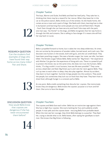

#### Chapter Twelve

The boys, Warren and Dude, find Bella and feed her beef jerky. They take her in, thinking that there may be a reward for her rescue. When they leave her in the car at the police station, Bella climbs out of the window. As she heads home, she comes across a town and a pack of dogs. She feeds with them, learning how to dive in dumpsters and learning that some people are nice and will feed them. People = food. Even though she can have security and food if she stays with the pack, one man says, "Go Home!" to the dogs, and Bella recognizes that her way home is through the hills and streams. She is willing to face danger if it means she will find her way back to Lucas.

#### Chapter Thirteen

Bella is propelled forward to home, but it takes her into deep wilderness. At times she can survive by the presence of wooden tables, burned wood, and trash cans. She discovers two hunters in the woods, both with guns, and she can smell blood. They have been poaching cougars. She sees a female cougar; her mate, we infer, has been killed. The female cougar follows Bella. Bella names her "Big Kitten." Her experience with Mother Cat give her the experience of living with cats. There is a powerful pull to protect this kitten, but at the same time, she does not trust the humans. Bella thinks, "If a dog couldn't trust humans, how was life even possible?" They come across a dead deer and feed. Big Kitten purrs and rubs her neck against Bella. They curl up next to each other to sleep; they also play together. Almost by accident, they learn to hunt together. Summer brings people into the outdoors. They avoid the people, but sometimes they luck out on food that they have. They learn how to share food, although hunger is a constant pull at Bella.

At one point, Bella smells something that disturbs her: coyotes. She instinctively knows they are dangerous. Bella knows the coyotes' purpose is to hunt and kill them. She turns to face the danger.

#### DISCUSSION QUESTION

13

14

RESEARCH QUESTION Can the students find examples of dogs who have found their way home across many miles? Pair and Share.

How would Bella know that coyotes are dangerous if she has never encountered them before?

#### Chapter Fourteen

The coyotes and Bella face each other. Bella has an instinctive rage against them. She has to fight four coyotes. She starts barking her fury and suddenly smells people. A man yells and the coyotes leave—rescuing Bella from probable death. When the men see her courage, they think Bella belongs to a poacher. They feed her, trying to decide what to do. Bella leaves, after saying her goodbyes to each man. She knows that Big Kitten is following.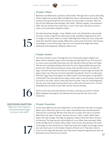

#### Chapter Fifteen

Big Kitten and Bella have a symbiotic relationship. Although she is curious about Big Kitten's nighttime activity, Bella and Big Kitten have a relationship that works. They prevent thirst by drinking from the streams, but the hunger is constant. With the lack of food, Bella becomes lethargic. She thinks, "Without people, I was powerless" (186). The two of them find a deer with a "stick" in her neck. She had run with an arrow in her and finally collapsed in death.

One day everything changes—snow. Visibility is low, and making their way through the snow is tedious. Big Kitten takes down an Elk, and Bella recognizes that she is in charge. At one point, there is a choice. With Big Kitten there are rocks, snow, and steep hills. Downhill means people. Bella picks up the scent of humans. Two humans are yelling at a man and his dog. They are in an unprotected, illegal area where avalanches have happened. Suddenly, there is one.

#### Chapter Sixteen

The man is buried in snow. The dog with him is frantically trying to dig him out. Bella, without hesitation, goes to join the dog and helps dig him out. The two men on cross country skis help resuscitate the man. We learn they are Gavin and Taylor. The two men mistakenly believe that both the man's dog and Bella belong to the buried man. When Mountain Rescue comes, they ask them what to do with the dogs. A woman tells them that they are not equipped to rescue dogs and leaves the dogs in their care. The men are kind, and while they identify "Dutch" as a Burmese Mountain Dog, they cannot figure out Bella's breed. Their best guess is that Bella is a bullmastiff. The men take the two dogs to their cabin in the mountains. Dutch has his name on his collar, which is why they know his name. They are a little disgusted with the man they saved, because Dutch has a collar with his name and is "rotund," while Bella has no name on the collar and her ribs are showing.

## 16

15

Dutch cannot eat and stands alertly at the door, wanting to be with his master. Bella recognizes the anguish, but believes that her stay with the men is only temporary.

DISCUSSION QUESTION

Why can't the majority of domesticated dogs survive in the wild?

17

#### Chapter Seventeen

At the cabin, Bella worries about Big Kitten. In the meantime, the men try to guess Bella's name. When she reacts to her name, they believe they have discovered it. They buy her a name tag. We learn that they are a couple. One man is an author. Bella learns the name "suitcase," because one man, Taylor, travels. When Taylor leaves, the rules change. The dogs are allowed to sleep in bed with Gavin. Dutch is still very sad. The dog toys just remind Bella of Lucas. When they take walks, Bella knows the Big Kitten is nearby. When Taylor comes home, they discover the owner of the dogs is a man named Kurch. They know they have to give up the dogs and are very sad. Gavin says it is the hardest thing he will have to do. They take a drive to return Kurch's dogs. We also learn that they cannot keep the dogs because they are planning a trip to China for six months.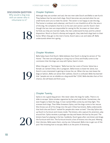

#### DISCUSSION QUESTION

Why would a dog stay with an owner who is inhumane to it?

18

#### Chapter Eighteen

Although they are somber and sad, the two men take Dutch and Bella to see Kurch. They believe that he owns both dogs. Dutch becomes very excited when he can smell home and runs to meet his owner. The owner is not happy to see the dog. The home is rundown and unkempt, and Kurch is not thankful at all for the return of the dog. He complains that he is on his own and cannot care for Dutch. Even though the two men are responsible for saving his life, he sneers at them when he finds out they are married. Sadly, the men understand his bias and his unkind disposition. Much to Dutch's dismay and anguish, they take both dogs back to their home. When they get to the men's home, Dutch sees a cat and takes off. Bella understands where he is going.

#### Chapter Nineteen

Bella helps Gavin find Dutch. Bella believes that Dutch is doing his version of "Go Home." The men are still going on a long trip to China and finally come to the conclusion that the dogs can stay with Sylvia, Gavin's mom.

19

When they get to "Farmington," Bella has lost her scent of home. Sylvia has a female cat named Chloe, who is pregnant. Bella knows to leave her alone, but Dutch is very interested in getting to know the cat. When the two men leave the dogs at Sylvia's, Bella can sense their sadness. Dutch is confused. Bella has learned that "people are not as reliable as a dog would like" (234). Bella decides that at first chance, she will leave and find Lucas.

#### Chapter Twenty

Sylvia is not a good dog person. She never takes the dogs for walks. There is no slide to escape. Sylvia smokes cigarettes by her pool and drinks. Sometimes, she even forgets to feed the dogs. A man named Mike comes by and they fight. This stresses both dogs. Then Mike threatens Sylvia, and the dogs come to her rescue. She throws out all of his things into the yard. Chloe has kittens. Bella understands that both she and Dutch "waited for people who never arrived." One day Sylvia ties up Dutch to furniture and moves inside. The kittens, who capture his attention, play around him. Sylvia receives a package one day and leaves the box by the pool. The kittens have fun playing in the box. Suddenly, Dutch goes after one kitten and drags the furniture with him. The furniture knocks a box of kittens into the pool. Mewing their distress, Bella saves them, one by one. Exhausted, Bella tries to get out of the pool. Not knowing how to escape, Bella is at the point of drowning.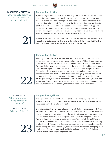

#### DISCUSSION QUESTION

Why was Bella drowning in the pool? Why didn't she just walk out?

#### Chapter Twenty-One

Sylvia finally goes out and shows Bella how to get out. Bella observes as the kittens are leaving, one day at a time. Dutch has lost all of his energy. He is so sad, now for the two men, that he is lethargic. Bella says that Sylvia never let them out and never let them chase a ball. The only thing she does is feed them and let them in the house at times. One day, Dutch becomes super excited and Gavin appears. It has been six months. Dutch is so happy that Bella understands that Gavin is Dutch's person, just like Lucas is hers. On the long ride home, Bella can smell home again. Although she loves Gavin and Taylor, she yearns for Lucas.

When the two men take the dogs to the cabin and let them off their leashes, Bella heads home. Dutch goes with her for a while, and then Bella senses that Dutch is saying "goodbye," and he turns back to his person. Bella moves on.

#### Chapter Twenty-Two

Bella is glad that Dutch has the two men, but now strives for home. She comes across a burned-up forest and feels alone and very thirsty. Although she knows her direction will take her away from Lucas, she knows she has to eat, and she heads for town. Bella discovers a supermarket and the smell of grilling chicken. She learns that the doors open when she steps on it and takes the chance to grab a chicken. She is chased by a man in the grocery but makes a second attempt to get yet another chicken. She steals another chicken and feels guilty, and the man chases her again. She believes that "angry men hurt dogs," and she evades the capture. As she goes through the town, she sees a homeless man, and sensing his pain, she goes to comfort him. He is nice to her, but when she gets close, he ties her up. She realizes, at the end of the chapter, that she has made a terrible mistake.

 $22$ 

 $21$ 

INFERENCE What do we suppose is the condition of the man?

PREDICTION What will Bella do?

23

#### Chapter Twenty-Three

The man's name is Axel, and he keeps Bella tied up. They sleep on sidewalks, and she can smell the alcohol on his breath. Although he ties her up, she feels like the man needs comfort. He talks to himself.

During the night, the man is agitated and fevered. Bella feels important with Axel. An officer "Tom" often visits. He tells Axel the he will drive him to Denver and warns him of the cold of winter. Officer Tom asks Axel if he is using again. Bella now faces another winter, where she curls up against Axel for warmth. People try to help Axel and they give him a tent and stove and food. Axel reminds Bella of Mack, a veteran from the hospital. Axel is paranoid and reclusive. Bella observers him using a "plastic pencil" from time to time, and he sleeps soundly. He often disappears for hours, leaving Bella alone. One night, three men trash his tent and belongings. Bella thinks about Dutch and how Dutch and Bella had warded off Mike. Bella knows what to do and takes off growling at the men.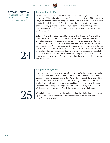

#### RESEARCH QUESTION

What is the Silver Star and what do you have to do to earn one?

#### Chapter Twenty-Four

With a "ferocious wrath" both Axel and Bella charge the young men, destroying their "home." They take off running, and Axel inspects what is left of his belongings. They have ruined almost everything. That night it was so cold, that the two of them remained cuddled together. Officer Tom comes the next day with the boys and their dads. They apologize and call him "Sgt. Rothman." They make up for what they have done, and Officer Tom says, "I guess I just became the soldier who won the Silver Star."

Bella and Axel go through a very cold winter, and then it is spring. Axel is told he has to leave the park. They find a place by the river. Bella can smell the scent of a coyote nearby and Axel is getting worse, health-wise. Axel paces and yells, and leaves Bella for days at a time, forgetting to feed her. Because she is tied up, she cannot get to food. Axel returns one night with one of his needles and calls Bella to him. He calls her his best friend and stops breathing. She lies all night with her head on his chest. She recognizes death. She also smells the coyote getting closer. Bella cannot reach her food or the river and ends up howling at the cars on the road to stop. No one does. Just when Bella recognized that she was getting sick, some boys ride by on bicycles.

#### Chapter Twenty-Five

The boys come back and untangle Bella from a tree limb. They also discover Axel's body and call 911. Bella is still leashed to Axel when the paramedics come. They assume the cause of death is an overdose. When they unleash Bella, she can drink from the river. Bella goes to smell Axel and his belongings one more time. Bella thinks, "This was, I realized, the last time I would ever smell him. He had left and would never be coming back. Things repeated, which is how dogs learned" (190). While people are milling around Axel, Bella knows it is time to "Go Home."

24

When Bella leaves, she comes to the realization that she is being hunted by coyotes. When Bella leaves, she comes to the realization that she is being hunted by c<br>Up in the boulders, she prepares herself for the battle of her life. She readies<br>herself, in "primitive fury."

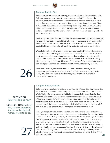

#### Chapter Twenty-Six

Bella knows, as the coyotes are coming, that she is bigger, but they are desperate. Bella can identify that they are three young males and with her back to the boulders, she turns to fight them. As the fight starts, and she lashes out, there is a blur of another animal above her that flew out and lashed out at a coyote. They all flee and Bella recognizes her savior as Big Kitten. Big Kitten had grown, and in Bella's eyes, is huge. Bella is injured in the fight, and Big Kitten licks the wound. Bella believes that if Big Kitten comes home with her, Lucas will feed her, like he did with the other cats.

Bella recognizes that Big Kitten's hunting habits have changed. Now when she killed her prey, she buries it for later. Still, the hunger and the desire to get home make Bella head for a town. When there were people, there was food. Although Bella wants Big Kitten to follow, she will not. Bella understands that this is a goodbye.

When Bella finds herself in a town, she smells food coming from a truck. When she climbs in, she discovers bags of dog food. She becomes trapped in the truck. When the truck stops, she leaps out and she resumes her trek home, sleeping at night in parks. She can hear cars, and she returns to streams to drink. She missed Big Kitten, and at night, she has vivid dreams. She dreams of all the people and animals that have gotten her this far. She believes that have all come to say goodbye.

Bella is now so close, she cannot stop nor sleep. She makes her way to her hometown, and the excitement is palpable. She finds the apartment and barks **Loudly.** An old woman answers the door and gives Bella treats, but Bella is distressed. Lucas is gone.

#### Chapter Twenty-Seven

Bella goes where she has memories and reunites with Mother Cat, only Mother Cat has a new name. A lady calls her "Daisy" and puts food out on her deck to feed her. While Mother Cat does not seem afraid of the woman, Bella notes that she does not smell of humans. Bella seems to understand that cats do not crave the touch of humans like dogs do. While Bella is on the street, she smells the bad man, the Animal Control driver. Bella runs to the "Go to Work" door, but no one will let her in. Suddenly, Bella hears her name being called. It is Olivia! Bella is full of joy, relief, and love. We find out that Bella has been gone for more than two years!

Olivia, gushing over Bella, gives us more information. She and Lucas had driven all over Durango looking for Bella—and she introduces Bella as her "fiancé's dog." Bella is named the "Miracle Dog." Chuck, who has chased Bella into the hospital, meets a formidable gang of people. Bella is delighted to see Ty, Layla, Steve, Marty, Jordan, and Mom. Olivia calls Lucas. Chuck says he is there to confiscate the dog and is executing a warrant. The police show up. When Chuck threatens to take the dog, Ty tells him that he will have to get past "the Fourth Infantry Division of the U.S. Army" (314). Mom adds "Eighty-second Airborne Division, U.S. Army." Suddenly Drew wheels forward and announces the presence of "the Second Marine Division." The police seem afraid.

#### PREDICTION What will Bella do now?

#### QUESTION TO CONSIDER

Why are they protecting the dog and using their military status to do so?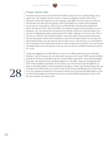

#### Chapter Twenty-Eight

The police announce the arrival of the Sheriff. Bella is anxious and not understanding. Chuck, called "Hat-man" by Bella, says he is there to "execute a dangerous animal confiscation." Everyone is tense. Mom says that no one is going to take Bella. Two more police cars show up and the New-man says that he is going to have to take Bella into custody. Mom disagrees. At this time, Dr. Gann pulls up. Marcus Gann and Sheriff Mica introduce themselves each other. The veterans tell Dr. Gann that Bella is an emotional support animal and that no one is taking her. Hat-man says he has the authority by a Denver ordinance to take the dog. At this moment of heightened anxiety, wondering how this "fight" might go on, Dr. Gann says, "This is not the city of Denver. This is federal property." New-man sees his point and announces that they are clearing out. When Chuck threatens to watch for the dog to take it into custody, he is admonished by New-man, who tells him that he will not do so, and that he is out of the field for more training. Dr. Gann admits that he will not enforce every rule in the book, so we can assume that Bella is welcome in the hospital. A new car pulls into the lot, and Bella instantly knows who it is: Lucas.

Crying and wagging her tail, Bella flies into Lucas's arms. Bella is beyond ecstatic. She keeps thinking, "I was Go Home at last. Go Home with my person, with Lucas" (322). Amazed at Bella's journey, we find out she has gone over four hundred miles to get home. Lucas states how guilty he has felt, and Olivia tells him that Bella forgives him. She adds, "Dogs are amazing like that" (325). They take Bella to see Mack, who has taken a turn for the worse, but he brightens up when he sees Bella. Bella can feel the sadness breaking up in Mack, and she feels happy that she is doing her job. When Olivia, Lucas (who is now in med school), and Bella go home, they bring out Lucas's blanket and feed her a tiny piece of cheese, the ritual they love. Bella reflects on the Fact that all the people and animals she met were all responsible for getting her home. In the end, she is finally, "Go Home at last."

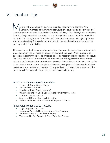

### VI. Teacher Tips

any ninth-grade English curricula include a reading from Homer's "The Odyssey." Comparing the two stories would give students an ancient tale and a contemporary tale that have similar features. In *A Dog's Way Home*, Bella recognizes that it is the journey that has made up her life in getting home. The reflection is the same for the protagonist of "The Odyssey." Odysseus is obsessed with getting home, and he receives help from gods and prophets. In the end, he acknowledges that the journey is what made his life.

This novel lends itself to comparing notes from the novel to that of informational text. Great opportunities for research appear throughout the novel. When students ask questions in Literary Circles, be prepared to assign research topics. Topics could result in a three-minute oral presentation, or a ten-minute writing exercise. More formal research topics can result in more formal presentations. Once students get used to the three-minute presentation, complete with summarizing their citations out loud, they become more articulate and precise. It is a great lesson to learn how to weed out the extraneous information in their research and make solid points.

#### EFFECTIVE RESEARCH TOPICS TO ASSIGN

- History of Domesticated Dogs
- AKC and the "Pit Bull"
- How Do Animals Serve Humans?
- What Gives the Pit Bull a Bad Reputation? Rumor vs. Facts
- Duties of Animal Control
- Stories of Different Species Interacting
- Airlines and Rules About Emotional Support Animals

#### PERSUASIVE TOPICS COULD INCLUDE

- Dogs Lengthen Our Lives
- Emotional Animals Need Less Severe Certification
- Veteran's Hospitals Need More Money
- There are No Bad Breeds of Dogs, Only Bad Owners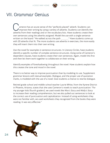

### VII. Grammar Genius

ameron has an acute sense of the "perfectly placed" adverb. Students can  $\prime$  improve their writing by using a variety of adverbs. Students can identify the adverbs from their readings and/or the vocabulary lists. Have students create their own sentences using the adverbs assigned. Model the use with a single sentence written on the board: "He walked across the path \_\_\_\_\_\_\_." Have students come up with 20 adverbs that fit. The more students use adverbs in exercises, the more easily they will insert them into their own writing.

Use the novel for examples in sentence structures. In Literary Circles, have students identify a specific number of complex sentence structures. Using some of Cameron's dependent clauses, have students create their own sentences. Again, model this first and then let them work together to collaborate on their writing.

Identify examples of foreshadowing throughout the novel. Have students explain how this creates the tone and mood in the novel.

There is no better way to improve punctuation than by modeling its use. Supplement grammar lessons with textual examples. Dialogue, and the proper use of quotation marks, is modeled with the use of a novel. Give students a chance to rewrite dialogue.

Retired grade-school and middle-school teacher Laurie White, from the Kyrene District in Phoenix, Arizona, states that she uses Cameron's novels to teach punctuation: "For my younger kids (fourth graders), we used novels like *Max's Story* and *Molly's Story* to increase their reading comprehension, but we also pulled out sentences to look at the correct use of punctuation and capitalization. Instead of using worksheets they were not familiar with, we used worksheets they recognized from the books they were reading. It was very effective."

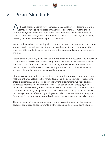

### VIII. Power Standards

Ithough state standards vary, there is some consistency. All Reading Literature standards have to do with identifying themes and motifs, comparing them to other texts, and connecting them to our life experiences. We teach students to evaluate the writing craft, and we ask them to evaluate, assess, design, create, write, present, and reflect on different aspects of the novel.

We teach the mechanics of writing with grammar, punctuation, semantics, and syntax. Younger students can identify plot structures and use plot graphs to separate the chapters. Older students can assess the use of transitions and identify what propels the plot.

Lesson plans in the study guide also use informational texts in research. The purpose of study guides is to assist the teacher in organizing materials to use in lesson planning, and take some of the tedium out of the planning. For every question asked, research can be done to provide answers. Since reading about animals is of high interest to students, the motivation to stay engaged is stimulated.

Students can identify with the characters in the novel. Many have grown up with single mothers or have a veteran in the family. Journaling is a good exercise for processing these experiences, and it meets one of the writing expectations. We want students to process information and annotate. Annotation can be taught through graphic organizers, and even the youngest reader can start annotating texts for central ideas, character motivation, and questions/surprises in the text. Literary Circles will help in discussing cause and effect, using analogies to make points, and demonstrating the formation of critical ideas, supported with persuasive language and textual evidence.

There are plenty of creative writing opportunities. Aside from personal narratives, students can write a screenplay, write a different ending, or create a dog's "journal."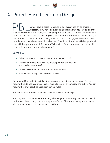

## IX. Project-Based Learning Design

s meet several state standards in one lesson design. To create a successful PBL, have an overriding question that appears on all of the rubrics, worksheets, directions, etc. that you produce in the classroom. This question is critical to the success of the PBL. It gives your students autonomy. As the teacher, you can include it in the assessment. Using Backward Lesson Design, decide how you will be able to tell that the students have learned. What kind of product will they produce? How will they present their information? What kind of outside sources can or should they use? How much research is required?

#### EXAMPLES

- What can we do as citizens to overturn an unjust law?
- How can humans deal with the overpopulation of dogs and cats in the community?
- How can we serve our veterans more humanely?
- Can we rescue dogs and veterans together?

Be prepared for students to take directions you may not have anticipated. You can require them to use a source of social media to inform or persuade the public. You can require that they speak to experts in certain fields.

You can require them to produce a taped interview with an expert.

You may want to start with determining whether your community has specific animal ordinances, their history, and how they are enforced. The students may surprise you with how personal these issues may be to them.